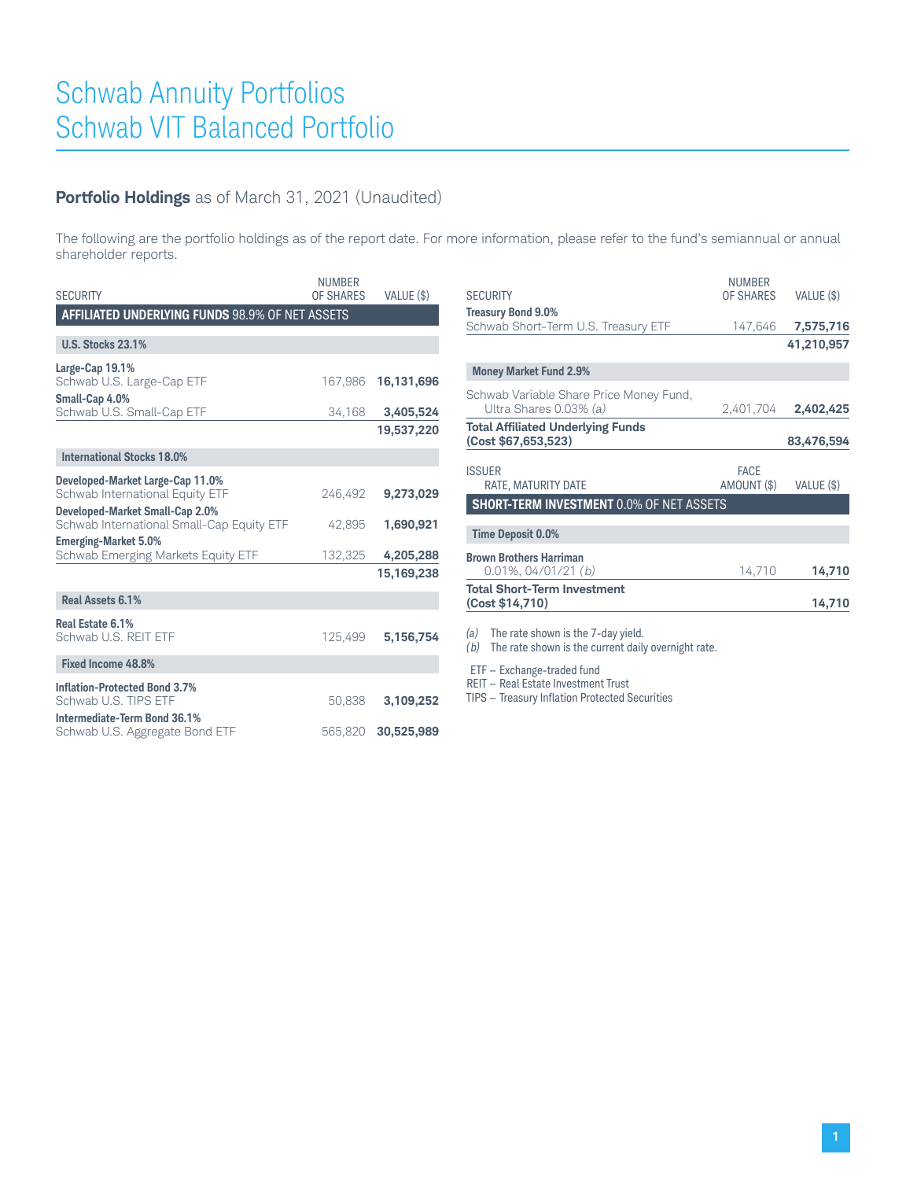## **Portfolio Holdings** as of March 31, 2021 (Unaudited)

The following are the portfolio holdings as of the report date. For more information, please refer to the fund's semiannual or annual shareholder reports.

| <b>SECURITY</b>                                              | <b>NUMBER</b><br>OF SHARES | VALUE (\$) |
|--------------------------------------------------------------|----------------------------|------------|
| <b>AFFILIATED UNDERLYING FUNDS 98.9% OF NET ASSETS</b>       |                            |            |
|                                                              |                            |            |
| <b>U.S. Stocks 23.1%</b>                                     |                            |            |
| Large-Cap 19.1%                                              |                            |            |
| Schwab U.S. Large-Cap ETF                                    | 167,986                    | 16,131,696 |
| Small-Cap 4.0%                                               |                            |            |
| Schwab U.S. Small-Cap ETF                                    | 34,168                     | 3,405,524  |
|                                                              |                            | 19,537,220 |
| <b>International Stocks 18.0%</b>                            |                            |            |
| Developed-Market Large-Cap 11.0%                             |                            |            |
| Schwab International Equity ETF                              | 246,492                    | 9,273,029  |
| Developed-Market Small-Cap 2.0%                              |                            |            |
| Schwab International Small-Cap Equity ETF                    | 42,895                     | 1,690,921  |
| <b>Emerging-Market 5.0%</b>                                  |                            |            |
| Schwab Emerging Markets Equity ETF                           | 132,325                    | 4,205,288  |
|                                                              |                            | 15,169,238 |
| Real Assets 6.1%                                             |                            |            |
| Real Estate 6.1%                                             |                            |            |
| Schwab U.S. REIT ETF                                         | 125.499                    | 5,156,754  |
| Fixed Income 48.8%                                           |                            |            |
|                                                              |                            |            |
| <b>Inflation-Protected Bond 3.7%</b><br>Schwab U.S. TIPS ETF | 50.838                     | 3,109,252  |
| Intermediate-Term Bond 36.1%                                 |                            |            |
| Schwab U.S. Aggregate Bond ETF                               | 565,820                    | 30,525,989 |
|                                                              |                            |            |

| <b>SECURITY</b>                                                                                         | <b>NUMBER</b><br>OF SHARES | VALUE (\$) |
|---------------------------------------------------------------------------------------------------------|----------------------------|------------|
| <b>Treasury Bond 9.0%</b>                                                                               |                            |            |
| Schwab Short-Term U.S. Treasury ETF                                                                     | 147,646                    | 7,575,716  |
|                                                                                                         |                            | 41,210,957 |
| <b>Money Market Fund 2.9%</b>                                                                           |                            |            |
| Schwab Variable Share Price Money Fund,                                                                 |                            |            |
| Ultra Shares 0.03% (a)                                                                                  | 2,401,704                  | 2,402,425  |
| <b>Total Affiliated Underlying Funds</b>                                                                |                            |            |
| (Cost \$67,653,523)                                                                                     |                            | 83,476,594 |
| <b>ISSUER</b><br>RATE, MATURITY DATE                                                                    | <b>FACE</b><br>AMOUNT (\$) | VALUE (\$) |
| <b>SHORT-TERM INVESTMENT 0.0% OF NET ASSETS</b>                                                         |                            |            |
| <b>Time Deposit 0.0%</b>                                                                                |                            |            |
| <b>Brown Brothers Harriman</b>                                                                          |                            |            |
| $0.01\%$ , 04/01/21 (b)                                                                                 | 14,710                     | 14,710     |
| <b>Total Short-Term Investment</b>                                                                      |                            |            |
| (Cost \$14,710)                                                                                         |                            | 14,710     |
| (a)<br>The rate shown is the 7-day yield.<br>(b)<br>The rate shown is the current daily overnight rate. |                            |            |

ETF — Exchange-traded fund

REIT — Real Estate Investment Trust

TIPS — Treasury Inflation Protected Securities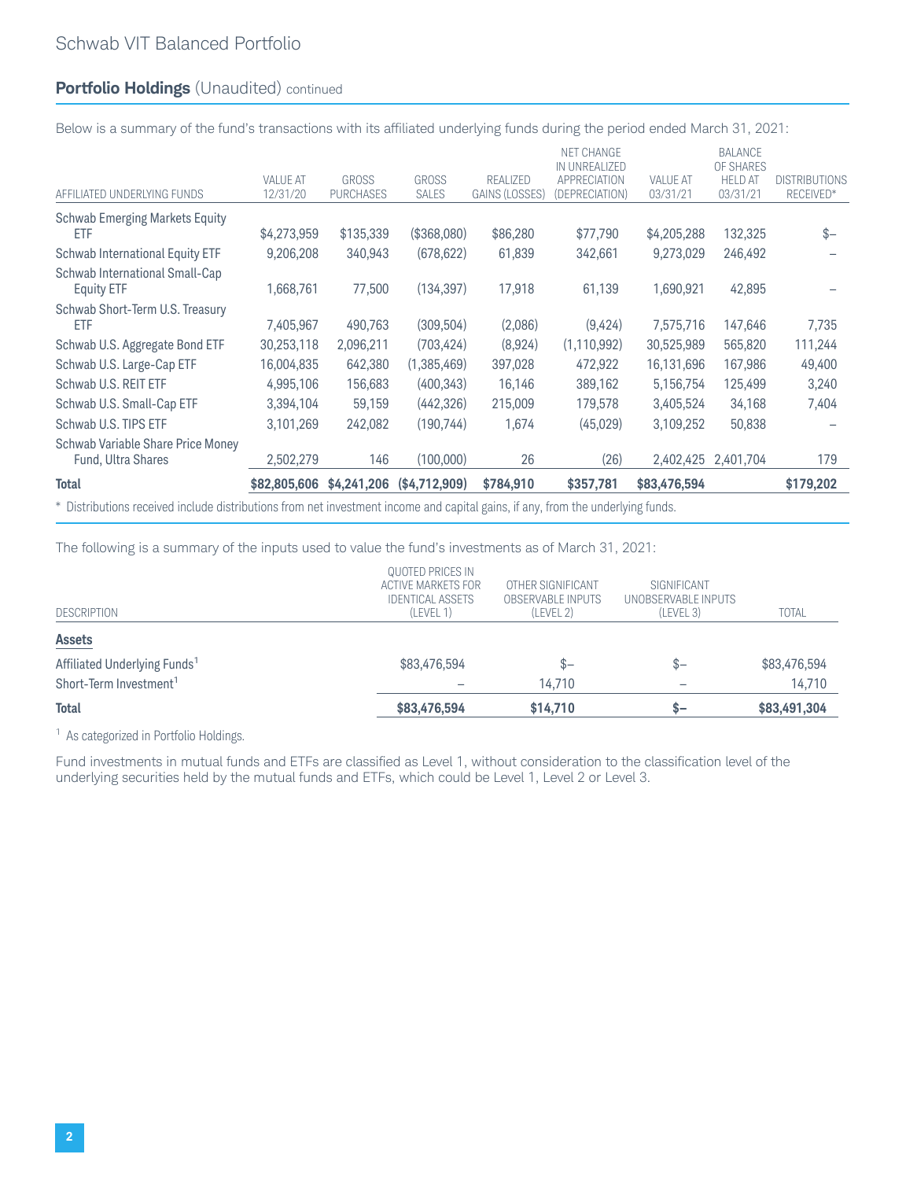## **Portfolio Holdings** (Unaudited) continued

Below is a summary of the fund's transactions with its affiliated underlying funds during the period ended March 31, 2021:

| <b>Total</b>                                            | \$82,805,606                | \$4,241,206                      | (\$4,712,909)                | \$784.910                         | \$357,781                                                     | \$83,476,594                |                                                    | \$179,202                         |
|---------------------------------------------------------|-----------------------------|----------------------------------|------------------------------|-----------------------------------|---------------------------------------------------------------|-----------------------------|----------------------------------------------------|-----------------------------------|
|                                                         |                             |                                  |                              |                                   |                                                               |                             |                                                    |                                   |
| Schwab Variable Share Price Money<br>Fund, Ultra Shares | 2,502,279                   | 146                              | (100,000)                    | 26                                | (26)                                                          | 2,402,425                   | 2,401,704                                          | 179                               |
| Schwab U.S. TIPS ETF                                    | 3,101,269                   | 242,082                          | (190, 744)                   | 1,674                             | (45,029)                                                      | 3,109,252                   | 50,838                                             |                                   |
| Schwab U.S. Small-Cap ETF                               | 3,394,104                   | 59,159                           | (442, 326)                   | 215,009                           | 179,578                                                       | 3,405,524                   | 34,168                                             | 7,404                             |
| Schwab U.S. REIT ETF                                    | 4,995,106                   | 156,683                          | (400, 343)                   | 16,146                            | 389,162                                                       | 5,156,754                   | 125,499                                            | 3,240                             |
| Schwab U.S. Large-Cap ETF                               | 16,004,835                  | 642,380                          | (1,385,469)                  | 397,028                           | 472,922                                                       | 16,131,696                  | 167,986                                            | 49,400                            |
| Schwab U.S. Aggregate Bond ETF                          | 30,253,118                  | 2,096,211                        | (703, 424)                   | (8,924)                           | (1, 110, 992)                                                 | 30,525,989                  | 565,820                                            | 111,244                           |
| Schwab Short-Term U.S. Treasury<br>ETF                  | 7,405,967                   | 490,763                          | (309, 504)                   | (2,086)                           | (9,424)                                                       | 7,575,716                   | 147,646                                            | 7,735                             |
| Schwab International Small-Cap<br><b>Equity ETF</b>     | 1,668,761                   | 77,500                           | (134, 397)                   | 17,918                            | 61,139                                                        | 1,690,921                   | 42,895                                             |                                   |
| Schwab International Equity ETF                         | 9,206,208                   | 340,943                          | (678, 622)                   | 61,839                            | 342,661                                                       | 9,273,029                   | 246,492                                            |                                   |
| <b>Schwab Emerging Markets Equity</b><br>ETF            | \$4,273,959                 | \$135,339                        | (\$368,080)                  | \$86,280                          | \$77,790                                                      | \$4,205,288                 | 132,325                                            | $$ -$                             |
| AFFILIATED UNDERLYING FUNDS                             | <b>VALUE AT</b><br>12/31/20 | <b>GROSS</b><br><b>PURCHASES</b> | <b>GROSS</b><br><b>SALES</b> | RFALIZED<br><b>GAINS (LOSSES)</b> | NET CHANGE<br>IN UNREALIZED<br>APPRECIATION<br>(DEPRECIATION) | <b>VALUE AT</b><br>03/31/21 | BALANCE<br>OF SHARES<br><b>HELD AT</b><br>03/31/21 | <b>DISTRIBUTIONS</b><br>RECEIVED* |

\* Distributions received include distributions from net investment income and capital gains, if any, from the underlying funds.

The following is a summary of the inputs used to value the fund's investments as of March 31, 2021:

| <b>QUOTED PRICES IN</b> |                          |                     |              |
|-------------------------|--------------------------|---------------------|--------------|
| ACTIVE MARKETS FOR      | OTHER SIGNIFICANT        | SIGNIFICANT         |              |
| <b>IDENTICAL ASSETS</b> | <b>OBSERVABLE INPUTS</b> | UNOBSERVABLE INPUTS |              |
| (LEVEL 1)               | (LEVEL 2)                | (LEVEL 3)           | <b>TOTAL</b> |
|                         |                          |                     |              |
| \$83,476,594            | $S-$                     | \$–                 | \$83,476,594 |
|                         | 14.710                   |                     | 14,710       |
| \$83,476,594            | \$14,710                 | $-7$                | \$83,491,304 |
|                         |                          |                     |              |

<sup>1</sup> As categorized in Portfolio Holdings.

Fund investments in mutual funds and ETFs are classified as Level 1, without consideration to the classification level of the underlying securities held by the mutual funds and ETFs, which could be Level 1, Level 2 or Level 3.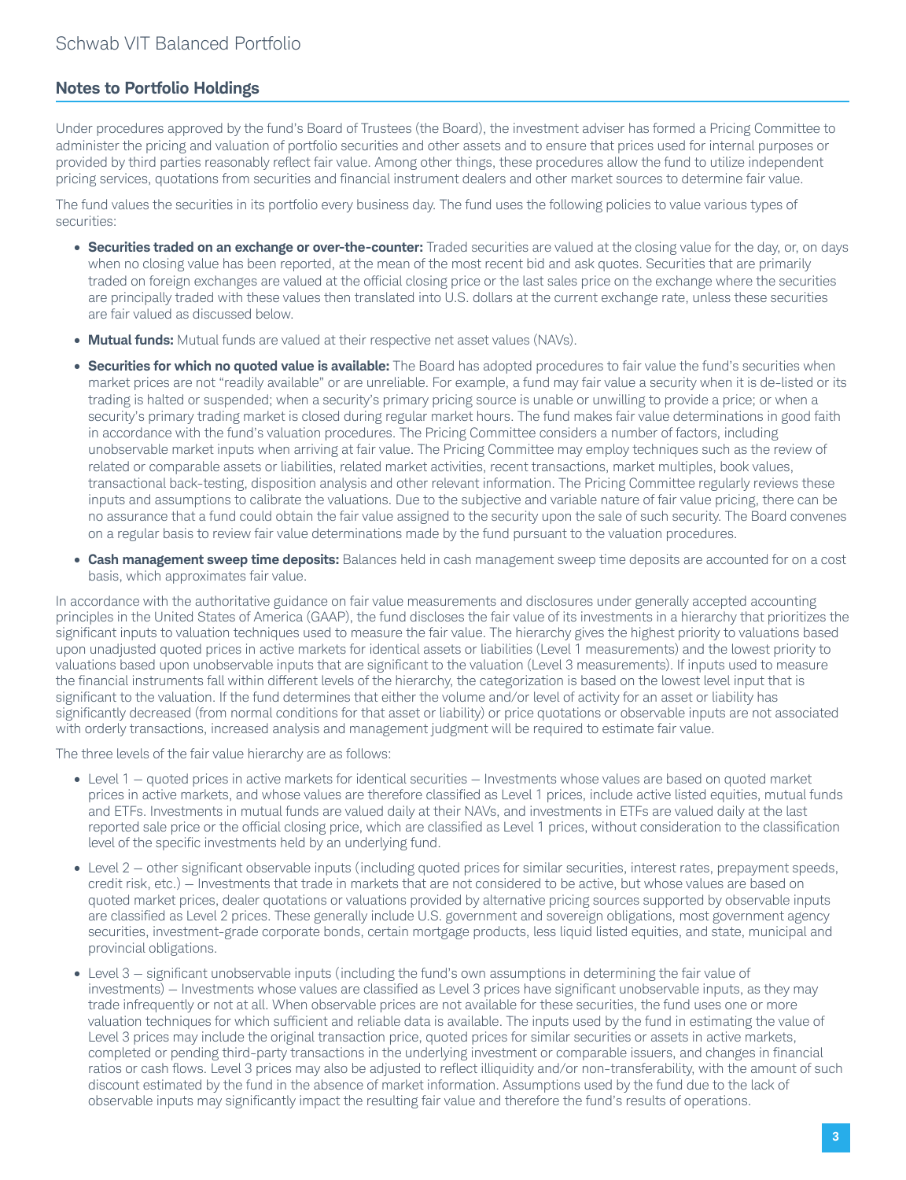## **Notes to Portfolio Holdings**

Under procedures approved by the fund's Board of Trustees (the Board), the investment adviser has formed a Pricing Committee to administer the pricing and valuation of portfolio securities and other assets and to ensure that prices used for internal purposes or provided by third parties reasonably reflect fair value. Among other things, these procedures allow the fund to utilize independent pricing services, quotations from securities and financial instrument dealers and other market sources to determine fair value.

The fund values the securities in its portfolio every business day. The fund uses the following policies to value various types of securities:

- **Securities traded on an exchange or over-the-counter:** Traded securities are valued at the closing value for the day, or, on days when no closing value has been reported, at the mean of the most recent bid and ask quotes. Securities that are primarily traded on foreign exchanges are valued at the official closing price or the last sales price on the exchange where the securities are principally traded with these values then translated into U.S. dollars at the current exchange rate, unless these securities are fair valued as discussed below.
- **Mutual funds:** Mutual funds are valued at their respective net asset values (NAVs).
- **Securities for which no quoted value is available:** The Board has adopted procedures to fair value the fund's securities when market prices are not "readily available" or are unreliable. For example, a fund may fair value a security when it is de-listed or its trading is halted or suspended; when a security's primary pricing source is unable or unwilling to provide a price; or when a security's primary trading market is closed during regular market hours. The fund makes fair value determinations in good faith in accordance with the fund's valuation procedures. The Pricing Committee considers a number of factors, including unobservable market inputs when arriving at fair value. The Pricing Committee may employ techniques such as the review of related or comparable assets or liabilities, related market activities, recent transactions, market multiples, book values, transactional back-testing, disposition analysis and other relevant information. The Pricing Committee regularly reviews these inputs and assumptions to calibrate the valuations. Due to the subjective and variable nature of fair value pricing, there can be no assurance that a fund could obtain the fair value assigned to the security upon the sale of such security. The Board convenes on a regular basis to review fair value determinations made by the fund pursuant to the valuation procedures.
- **Cash management sweep time deposits:** Balances held in cash management sweep time deposits are accounted for on a cost basis, which approximates fair value.

In accordance with the authoritative guidance on fair value measurements and disclosures under generally accepted accounting principles in the United States of America (GAAP), the fund discloses the fair value of its investments in a hierarchy that prioritizes the significant inputs to valuation techniques used to measure the fair value. The hierarchy gives the highest priority to valuations based upon unadjusted quoted prices in active markets for identical assets or liabilities (Level 1 measurements) and the lowest priority to valuations based upon unobservable inputs that are significant to the valuation (Level 3 measurements). If inputs used to measure the financial instruments fall within different levels of the hierarchy, the categorization is based on the lowest level input that is significant to the valuation. If the fund determines that either the volume and/or level of activity for an asset or liability has significantly decreased (from normal conditions for that asset or liability) or price quotations or observable inputs are not associated with orderly transactions, increased analysis and management judgment will be required to estimate fair value.

The three levels of the fair value hierarchy are as follows:

- Level 1 quoted prices in active markets for identical securities Investments whose values are based on quoted market prices in active markets, and whose values are therefore classified as Level 1 prices, include active listed equities, mutual funds and ETFs. Investments in mutual funds are valued daily at their NAVs, and investments in ETFs are valued daily at the last reported sale price or the official closing price, which are classified as Level 1 prices, without consideration to the classification level of the specific investments held by an underlying fund.
- Level 2 other significant observable inputs (including quoted prices for similar securities, interest rates, prepayment speeds, credit risk, etc.) — Investments that trade in markets that are not considered to be active, but whose values are based on quoted market prices, dealer quotations or valuations provided by alternative pricing sources supported by observable inputs are classified as Level 2 prices. These generally include U.S. government and sovereign obligations, most government agency securities, investment-grade corporate bonds, certain mortgage products, less liquid listed equities, and state, municipal and provincial obligations.
- Level 3 significant unobservable inputs (including the fund's own assumptions in determining the fair value of investments) — Investments whose values are classified as Level 3 prices have significant unobservable inputs, as they may trade infrequently or not at all. When observable prices are not available for these securities, the fund uses one or more valuation techniques for which sufficient and reliable data is available. The inputs used by the fund in estimating the value of Level 3 prices may include the original transaction price, quoted prices for similar securities or assets in active markets, completed or pending third-party transactions in the underlying investment or comparable issuers, and changes in financial ratios or cash flows. Level 3 prices may also be adjusted to reflect illiquidity and/or non-transferability, with the amount of such discount estimated by the fund in the absence of market information. Assumptions used by the fund due to the lack of observable inputs may significantly impact the resulting fair value and therefore the fund's results of operations.